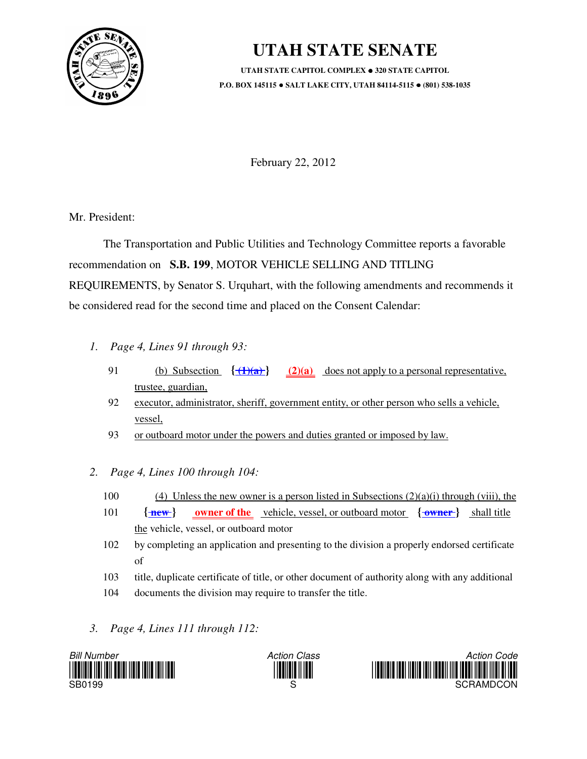

## **UTAH STATE SENATE**

**UTAH STATE CAPITOL COMPLEX**  $\bullet$  **320 STATE CAPITOL P.O. BOX 145115 SALT LAKE CITY, UTAH 84114-5115 (801) 538-1035**

February 22, 2012

Mr. President:

 The Transportation and Public Utilities and Technology Committee reports a favorable recommendation on **S.B. 199**, MOTOR VEHICLE SELLING AND TITLING REQUIREMENTS, by Senator S. Urquhart, with the following amendments and recommends it be considered read for the second time and placed on the Consent Calendar:

- *1. Page 4, Lines 91 through 93:*
	- 91 (b) Subsection **{ (1)(a) } (2)(a)** does not apply to a personal representative, trustee, guardian,
	- 92 executor, administrator, sheriff, government entity, or other person who sells a vehicle, vessel,
	- 93 or outboard motor under the powers and duties granted or imposed by law.
- *2. Page 4, Lines 100 through 104:*
	- 100 (4) Unless the new owner is a person listed in Subsections  $(2)(a)(i)$  through (viii), the
	- 101  $\{\text{new}\}\$  owner of the vehicle, vessel, or outboard motor  $\{\text{owner}\}$  shall title the vehicle, vessel, or outboard motor
	- 102 by completing an application and presenting to the division a properly endorsed certificate of
	- 103 title, duplicate certificate of title, or other document of authority along with any additional
	- 104 documents the division may require to transfer the title.
- *3. Page 4, Lines 111 through 112:*